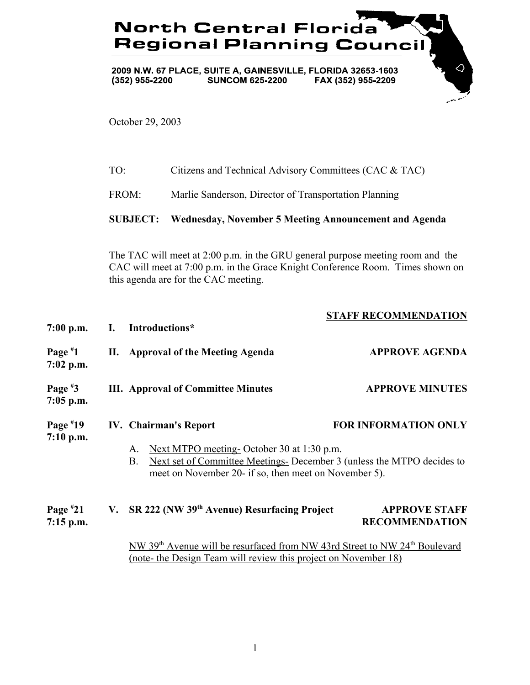## **North Central Florida Regional Planning Council**

2009 N.W. 67 PLACE, SUITE A, GAINESVILLE, FLORIDA 32653-1603  $(352)$  955-2200 **SUNCOM 625-2200** FAX (352) 955-2209

October 29, 2003

| Citizens and Technical Advisory Committees (CAC & TAC) |
|--------------------------------------------------------|
|                                                        |

FROM: Marlie Sanderson, Director of Transportation Planning

## **SUBJECT: Wednesday, November 5 Meeting Announcement and Agenda**

The TAC will meet at 2:00 p.m. in the GRU general purpose meeting room and the CAC will meet at 7:00 p.m. in the Grace Knight Conference Room. Times shown on this agenda are for the CAC meeting.

**STAFF RECOMMENDATION**

 $\Diamond$ 

| $7:00$ p.m.               | I. | STAFF RECOMMENDATION<br>Introductions*                                                                                                                                                                                          |                                               |
|---------------------------|----|---------------------------------------------------------------------------------------------------------------------------------------------------------------------------------------------------------------------------------|-----------------------------------------------|
| Page $*1$<br>$7:02$ p.m.  | П. | <b>Approval of the Meeting Agenda</b>                                                                                                                                                                                           | <b>APPROVE AGENDA</b>                         |
| Page $*3$<br>$7:05$ p.m.  |    | <b>III.</b> Approval of Committee Minutes                                                                                                                                                                                       | <b>APPROVE MINUTES</b>                        |
| Page $*19$<br>7:10 p.m.   |    | <b>IV.</b> Chairman's Report<br>Next MTPO meeting- October 30 at 1:30 p.m.<br>A.<br>Next set of Committee Meetings-December 3 (unless the MTPO decides to<br><b>B.</b><br>meet on November 20- if so, then meet on November 5). | <b>FOR INFORMATION ONLY</b>                   |
| Page $*21$<br>$7:15$ p.m. | V. | SR 222 (NW 39th Avenue) Resurfacing Project                                                                                                                                                                                     | <b>APPROVE STAFF</b><br><b>RECOMMENDATION</b> |
|                           |    | NW 39 <sup>th</sup> Avenue will be resurfaced from NW 43rd Street to NW 24 <sup>th</sup> Boulevard                                                                                                                              |                                               |